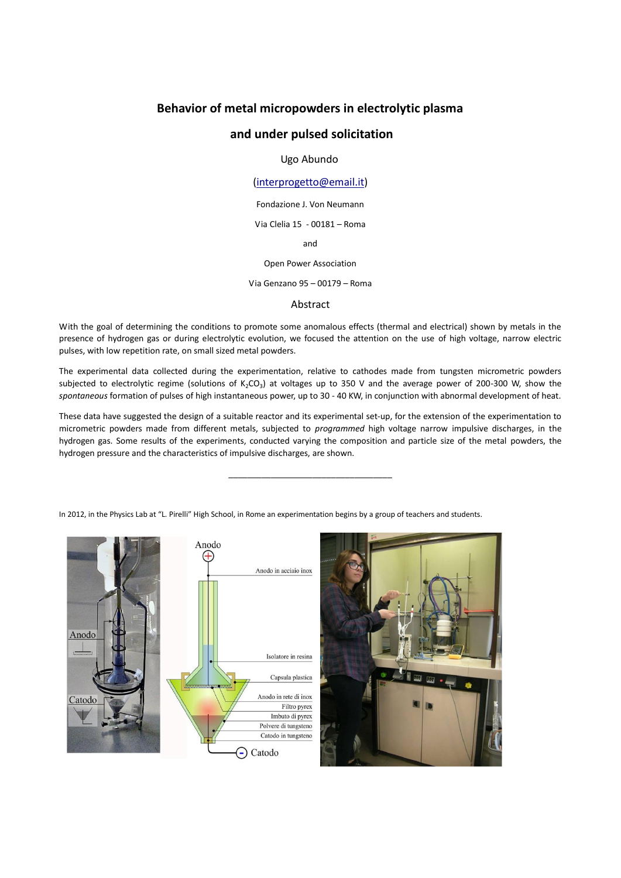# **Behavior of metal micropowders in electrolytic plasma**

## **and under pulsed solicitation**

## Ugo Abundo

## [\(interprogetto@email.it\)](mailto:interprogetto@email.it)

Fondazione J. Von Neumann

Via Clelia 15 - 00181 – Roma

and

Open Power Association

Via Genzano 95 – 00179 – Roma

#### Abstract

With the goal of determining the conditions to promote some anomalous effects (thermal and electrical) shown by metals in the presence of hydrogen gas or during electrolytic evolution, we focused the attention on the use of high voltage, narrow electric pulses, with low repetition rate, on small sized metal powders.

The experimental data collected during the experimentation, relative to cathodes made from tungsten micrometric powders subjected to electrolytic regime (solutions of K<sub>2</sub>CO<sub>3</sub>) at voltages up to 350 V and the average power of 200-300 W, show the *spontaneous* formation of pulses of high instantaneous power, up to 30 - 40 KW, in conjunction with abnormal development of heat.

These data have suggested the design of a suitable reactor and its experimental set-up, for the extension of the experimentation to micrometric powders made from different metals, subjected to *programmed* high voltage narrow impulsive discharges, in the hydrogen gas. Some results of the experiments, conducted varying the composition and particle size of the metal powders, the hydrogen pressure and the characteristics of impulsive discharges, are shown.

\_\_\_\_\_\_\_\_\_\_\_\_\_\_\_\_\_\_\_\_\_\_\_\_\_\_\_\_\_\_\_\_\_\_\_

In 2012, in the Physics Lab at "L. Pirelli" High School, in Rome an experimentation begins by a group of teachers and students.

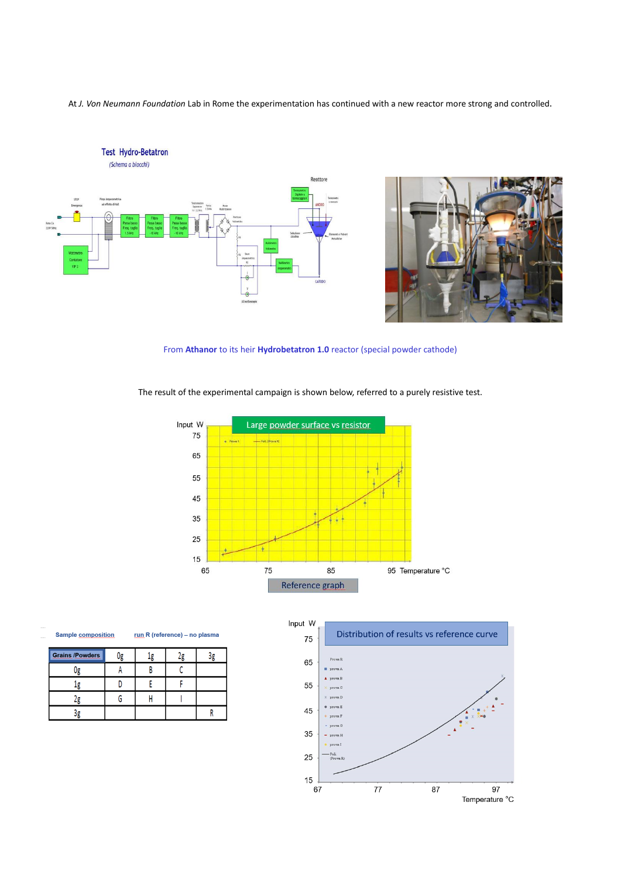At *J. Von Neumann Foundation* Lab in Rome the experimentation has continued with a new reactor more strong and controlled.





From **Athanor** to its heir **Hydrobetatron 1.0** reactor (special powder cathode)

The result of the experimental campaign is shown below, referred to a purely resistive test.



**Sample composition** run R (reference) - no plasma

| <b>Grains /Powders</b> |  |  |
|------------------------|--|--|
|                        |  |  |
|                        |  |  |
|                        |  |  |
|                        |  |  |

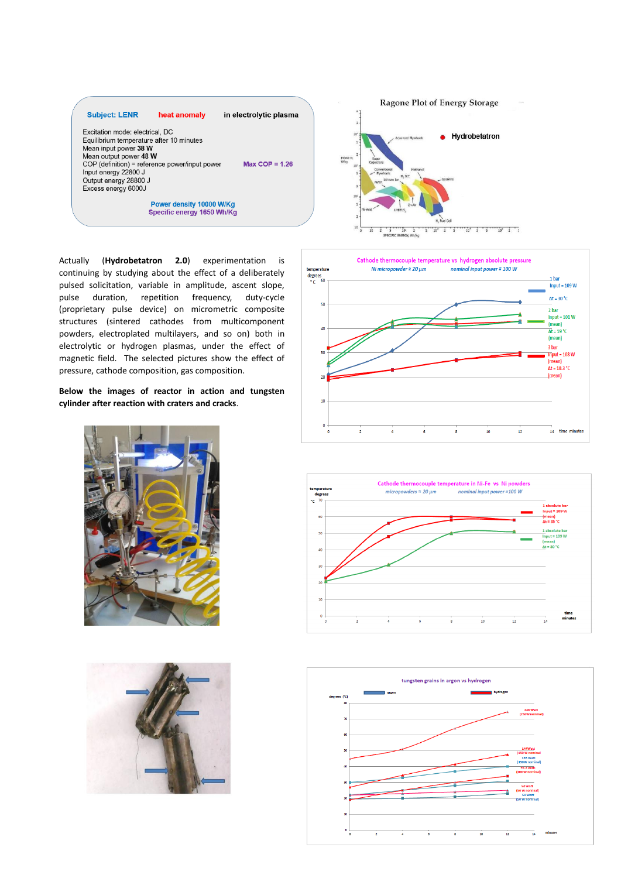

Actually (**Hydrobetatron 2.0**) experimentation is continuing by studying about the effect of a deliberately pulsed solicitation, variable in amplitude, ascent slope, pulse duration, repetition frequency, duty-cycle (proprietary pulse device) on micrometric composite structures (sintered cathodes from multicomponent powders, electroplated multilayers, and so on) both in electrolytic or hydrogen plasmas, under the effect of magnetic field. The selected pictures show the effect of pressure, cathode composition, gas composition.

**Below the images of reactor in action and tungsten cylinder after reaction with craters and cracks**.